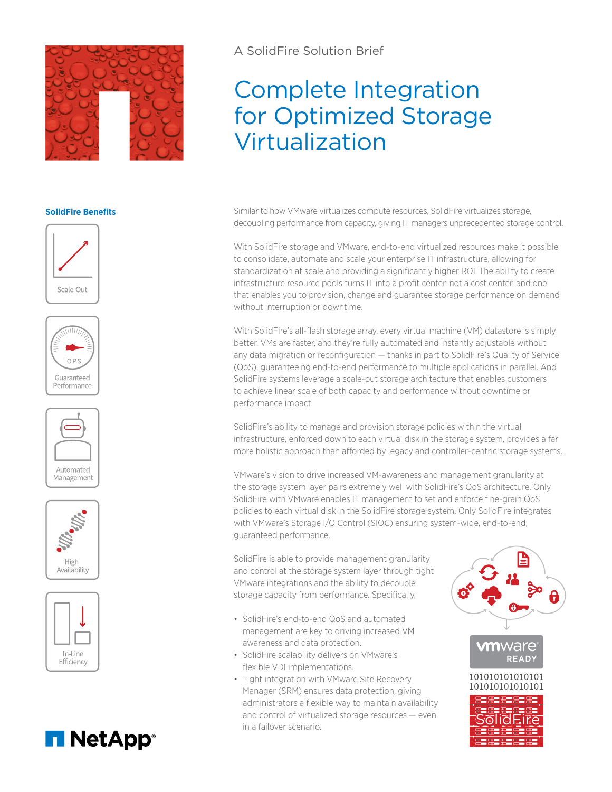

## **SolidFire Benefits**













A SolidFire Solution Brief

# Complete Integration for Optimized Storage Virtualization

Similar to how VMware virtualizes compute resources, SolidFire virtualizes storage, decoupling performance from capacity, giving IT managers unprecedented storage control.

With SolidFire storage and VMware, end-to-end virtualized resources make it possible to consolidate, automate and scale your enterprise IT infrastructure, allowing for standardization at scale and providing a significantly higher ROI. The ability to create infrastructure resource pools turns IT into a profit center, not a cost center, and one that enables you to provision, change and guarantee storage performance on demand without interruption or downtime.

With SolidFire's all-flash storage array, every virtual machine (VM) datastore is simply better. VMs are faster, and they're fully automated and instantly adjustable without any data migration or reconfiguration — thanks in part to SolidFire's Quality of Service (QoS), guaranteeing end-to-end performance to multiple applications in parallel. And SolidFire systems leverage a scale-out storage architecture that enables customers to achieve linear scale of both capacity and performance without downtime or performance impact.

SolidFire's ability to manage and provision storage policies within the virtual infrastructure, enforced down to each virtual disk in the storage system, provides a far more holistic approach than afforded by legacy and controller-centric storage systems.

VMware's vision to drive increased VM-awareness and management granularity at the storage system layer pairs extremely well with SolidFire's QoS architecture. Only SolidFire with VMware enables IT management to set and enforce fine-grain QoS policies to each virtual disk in the SolidFire storage system. Only SolidFire integrates with VMware's Storage I/O Control (SIOC) ensuring system-wide, end-to-end, guaranteed performance.

SolidFire is able to provide management granularity and control at the storage system layer through tight VMware integrations and the ability to decouple storage capacity from performance. Specifically,

- SolidFire's end-to-end QoS and automated management are key to driving increased VM awareness and data protection.
- SolidFire scalability delivers on VMware's flexible VDI implementations.
- Tight integration with VMware Site Recovery Manager (SRM) ensures data protection, giving administrators a flexible way to maintain availability and control of virtualized storage resources — even in a failover scenario.